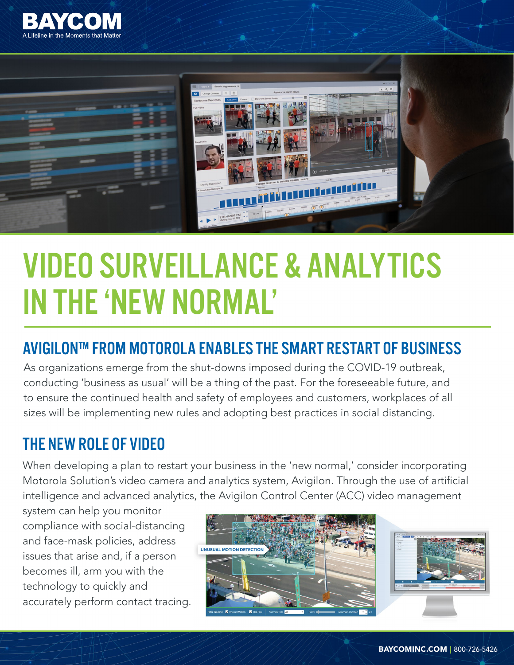



# VIDEO SURVEILLANCE & ANALYTICS IN THE 'NEW NORMAL'

## AVIGILON™ FROM MOTOROLA ENABLES THE SMART RESTART OF BUSINESS

As organizations emerge from the shut-downs imposed during the COVID-19 outbreak, conducting 'business as usual' will be a thing of the past. For the foreseeable future, and to ensure the continued health and safety of employees and customers, workplaces of all sizes will be implementing new rules and adopting best practices in social distancing.

## THE NEW ROLE OF VIDEO

When developing a plan to restart your business in the 'new normal,' consider incorporating Motorola Solution's video camera and analytics system, Avigilon. Through the use of artificial intelligence and advanced analytics, the Avigilon Control Center (ACC) video management

system can help you monitor compliance with social-distancing and face-mask policies, address issues that arise and, if a person becomes ill, arm you with the technology to quickly and accurately perform contact tracing.